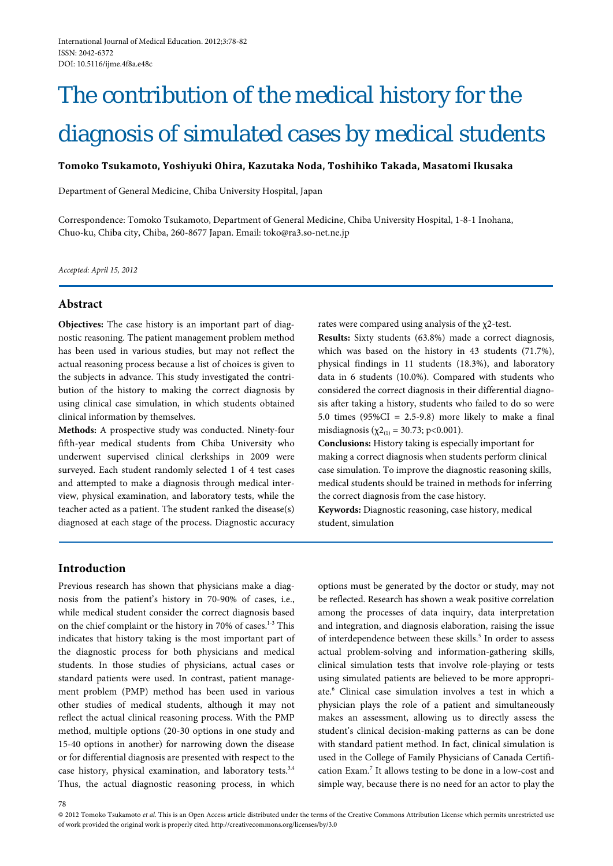# The contribution of the medical history for the diagnosis of simulated cases by medical students

# **Tomoko Tsukamoto, Yoshiyuki Ohira, Kazutaka Noda, Toshihiko Takada, Masatomi Ikusaka**

Department of General Medicine, Chiba University Hospital, Japan

Correspondence: Tomoko Tsukamoto, Department of General Medicine, Chiba University Hospital, 1-8-1 Inohana, Chuo-ku, Chiba city, Chiba, 260-8677 Japan. Email: toko@ra3.so-net.ne.jp

*Accepted: April 15, 2012*

# **Abstract**

**Objectives:** The case history is an important part of diagnostic reasoning. The patient management problem method has been used in various studies, but may not reflect the actual reasoning process because a list of choices is given to the subjects in advance. This study investigated the contribution of the history to making the correct diagnosis by using clinical case simulation, in which students obtained clinical information by themselves.

**Methods:** A prospective study was conducted. Ninety-four fifth-year medical students from Chiba University who underwent supervised clinical clerkships in 2009 were surveyed. Each student randomly selected 1 of 4 test cases and attempted to make a diagnosis through medical interview, physical examination, and laboratory tests, while the teacher acted as a patient. The student ranked the disease(s) diagnosed at each stage of the process. Diagnostic accuracy rates were compared using analysis of the χ2-test.

**Results:** Sixty students (63.8%) made a correct diagnosis, which was based on the history in 43 students (71.7%), physical findings in 11 students (18.3%), and laboratory data in 6 students (10.0%). Compared with students who considered the correct diagnosis in their differential diagnosis after taking a history, students who failed to do so were 5.0 times  $(95\%CI = 2.5-9.8)$  more likely to make a final misdiagnosis ( $\chi$ 2<sub>(1)</sub> = 30.73; p<0.001).

**Conclusions:** History taking is especially important for making a correct diagnosis when students perform clinical case simulation. To improve the diagnostic reasoning skills, medical students should be trained in methods for inferring the correct diagnosis from the case history.

**Keywords:** Diagnostic reasoning, case history, medical student, simulation

# **Introduction**

Previous research has shown that physicians make a diagnosis from the patient's history in 70-90% of cases, i.e., while medical student consider the correct diagnosis based on the chief complaint or the history in 70% of cases.<sup>1-3</sup> This indicates that history taking is the most important part of the diagnostic process for both physicians and medical students. In those studies of physicians, actual cases or standard patients were used. In contrast, patient management problem (PMP) method has been used in various other studies of medical students, although it may not reflect the actual clinical reasoning process. With the PMP method, multiple options (20-30 options in one study and 15-40 options in another) for narrowing down the disease or for differential diagnosis are presented with respect to the case history, physical examination, and laboratory tests.<sup>3,4</sup> Thus, the actual diagnostic reasoning process, in which

options must be generated by the doctor or study, may not be reflected. Research has shown a weak positive correlation among the processes of data inquiry, data interpretation and integration, and diagnosis elaboration, raising the issue of interdependence between these skills.<sup>5</sup> In order to assess actual problem-solving and information-gathering skills, clinical simulation tests that involve role-playing or tests using simulated patients are believed to be more appropriate.<sup>6</sup> Clinical case simulation involves a test in which a physician plays the role of a patient and simultaneously makes an assessment, allowing us to directly assess the student's clinical decision-making patterns as can be done with standard patient method. In fact, clinical simulation is used in the College of Family Physicians of Canada Certification Exam.<sup>7</sup> It allows testing to be done in a low-cost and simple way, because there is no need for an actor to play the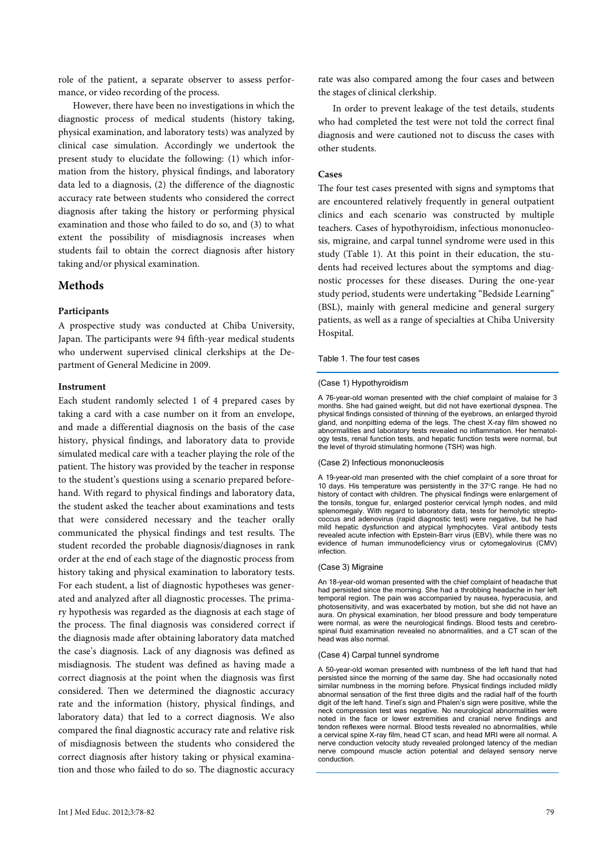role of the patient, a separate observer to assess performance, or video recording of the process.

However, there have been no investigations in which the diagnostic process of medical students (history taking, physical examination, and laboratory tests) was analyzed by clinical case simulation. Accordingly we undertook the present study to elucidate the following: (1) which information from the history, physical findings, and laboratory data led to a diagnosis, (2) the difference of the diagnostic accuracy rate between students who considered the correct diagnosis after taking the history or performing physical examination and those who failed to do so, and (3) to what extent the possibility of misdiagnosis increases when students fail to obtain the correct diagnosis after history taking and/or physical examination.

## **Methods**

#### **Participants**

A prospective study was conducted at Chiba University, Japan. The participants were 94 fifth-year medical students who underwent supervised clinical clerkships at the Department of General Medicine in 2009.

#### **Instrument**

Each student randomly selected 1 of 4 prepared cases by taking a card with a case number on it from an envelope, and made a differential diagnosis on the basis of the case history, physical findings, and laboratory data to provide simulated medical care with a teacher playing the role of the patient. The history was provided by the teacher in response to the student's questions using a scenario prepared beforehand. With regard to physical findings and laboratory data, the student asked the teacher about examinations and tests that were considered necessary and the teacher orally communicated the physical findings and test results. The student recorded the probable diagnosis/diagnoses in rank order at the end of each stage of the diagnostic process from history taking and physical examination to laboratory tests. For each student, a list of diagnostic hypotheses was generated and analyzed after all diagnostic processes. The primary hypothesis was regarded as the diagnosis at each stage of the process. The final diagnosis was considered correct if the diagnosis made after obtaining laboratory data matched the case's diagnosis. Lack of any diagnosis was defined as misdiagnosis. The student was defined as having made a correct diagnosis at the point when the diagnosis was first considered. Then we determined the diagnostic accuracy rate and the information (history, physical findings, and laboratory data) that led to a correct diagnosis. We also compared the final diagnostic accuracy rate and relative risk of misdiagnosis between the students who considered the correct diagnosis after history taking or physical examination and those who failed to do so. The diagnostic accuracy rate was also compared among the four cases and between the stages of clinical clerkship.

In order to prevent leakage of the test details, students who had completed the test were not told the correct final diagnosis and were cautioned not to discuss the cases with other students.

# **Cases**

The four test cases presented with signs and symptoms that are encountered relatively frequently in general outpatient clinics and each scenario was constructed by multiple teachers. Cases of hypothyroidism, infectious mononucleosis, migraine, and carpal tunnel syndrome were used in this study (Table 1). At this point in their education, the students had received lectures about the symptoms and diagnostic processes for these diseases. During the one-year study period, students were undertaking "Bedside Learning" (BSL), mainly with general medicine and general surgery patients, as well as a range of specialties at Chiba University Hospital.

#### Table 1. The four test cases

#### (Case 1) Hypothyroidism

A 76-year-old woman presented with the chief complaint of malaise for 3 months. She had gained weight, but did not have exertional dyspnea. The physical findings consisted of thinning of the eyebrows, an enlarged thyroid gland, and nonpitting edema of the legs. The chest X-ray film showed no abnormalities and laboratory tests revealed no inflammation. Her hematology tests, renal function tests, and hepatic function tests were normal, but the level of thyroid stimulating hormone (TSH) was high.

#### (Case 2) Infectious mononucleosis

A 19-year-old man presented with the chief complaint of a sore throat for 10 days. His temperature was persistently in the 37°C range. He had no history of contact with children. The physical findings were enlargement of the tonsils, tongue fur, enlarged posterior cervical lymph nodes, and mild splenomegaly. With regard to laboratory data, tests for hemolytic streptococcus and adenovirus (rapid diagnostic test) were negative, but he had mild hepatic dysfunction and atypical lymphocytes. Viral antibody tests revealed acute infection with Epstein-Barr virus (EBV), while there was no evidence of human immunodeficiency virus or cytomegalovirus (CMV) infection.

#### (Case 3) Migraine

An 18-year-old woman presented with the chief complaint of headache that had persisted since the morning. She had a throbbing headache in her left temporal region. The pain was accompanied by nausea, hyperacusia, and photosensitivity, and was exacerbated by motion, but she did not have an aura. On physical examination, her blood pressure and body temperature were normal, as were the neurological findings. Blood tests and cerebrospinal fluid examination revealed no abnormalities, and a CT scan of the head was also normal.

#### (Case 4) Carpal tunnel syndrome

A 50-year-old woman presented with numbness of the left hand that had persisted since the morning of the same day. She had occasionally noted similar numbness in the morning before. Physical findings included mildly abnormal sensation of the first three digits and the radial half of the fourth digit of the left hand. Tinel's sign and Phalen's sign were positive, while the neck compression test was negative. No neurological abnormalities were noted in the face or lower extremities and cranial nerve findings and tendon reflexes were normal. Blood tests revealed no abnormalities, while a cervical spine X-ray film, head CT scan, and head MRI were all normal. A nerve conduction velocity study revealed prolonged latency of the median nerve compound muscle action potential and delayed sensory nerve conduction.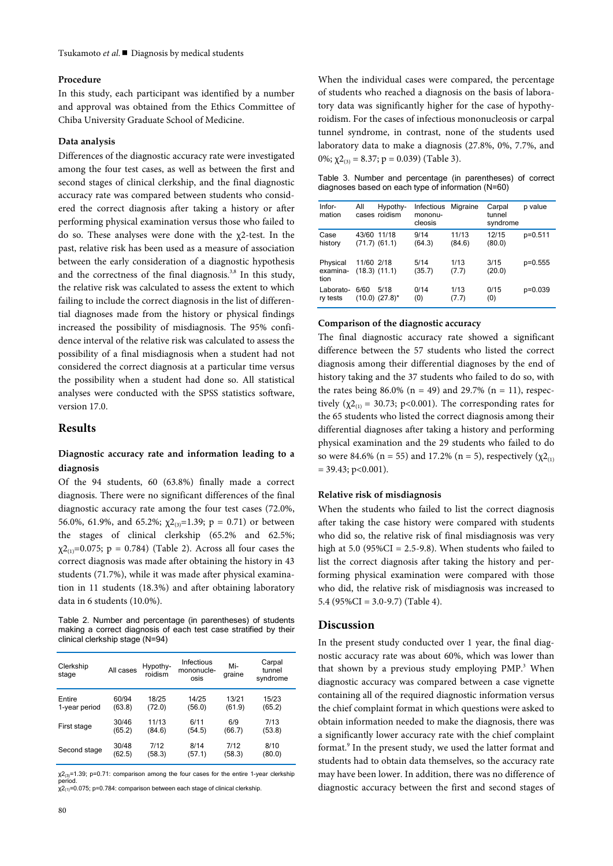## **Procedure**

In this study, each participant was identified by a number and approval was obtained from the Ethics Committee of Chiba University Graduate School of Medicine.

## **Data analysis**

Differences of the diagnostic accuracy rate were investigated among the four test cases, as well as between the first and second stages of clinical clerkship, and the final diagnostic accuracy rate was compared between students who considered the correct diagnosis after taking a history or after performing physical examination versus those who failed to do so. These analyses were done with the χ2-test. In the past, relative risk has been used as a measure of association between the early consideration of a diagnostic hypothesis and the correctness of the final diagnosis. $3,8$  In this study, the relative risk was calculated to assess the extent to which failing to include the correct diagnosis in the list of differential diagnoses made from the history or physical findings increased the possibility of misdiagnosis. The 95% confidence interval of the relative risk was calculated to assess the possibility of a final misdiagnosis when a student had not considered the correct diagnosis at a particular time versus the possibility when a student had done so. All statistical analyses were conducted with the SPSS statistics software, version 17.0.

# **Results**

# **Diagnostic accuracy rate and information leading to a diagnosis**

Of the 94 students, 60 (63.8%) finally made a correct diagnosis. There were no significant differences of the final diagnostic accuracy rate among the four test cases (72.0%, 56.0%, 61.9%, and 65.2%;  $\chi^2(z) = 1.39$ ; p = 0.71) or between the stages of clinical clerkship (65.2% and 62.5%;  $χ2_{(1)}=0.075$ ; p = 0.784) (Table 2). Across all four cases the correct diagnosis was made after obtaining the history in 43 students (71.7%), while it was made after physical examination in 11 students (18.3%) and after obtaining laboratory data in 6 students (10.0%).

Table 2. Number and percentage (in parentheses) of students making a correct diagnosis of each test case stratified by their clinical clerkship stage (N=94)

| Clerkship<br>stage | All cases | Hypothy-<br>roidism | Infectious<br>mononucle-<br>osis | Mi-<br>graine | Carpal<br>tunnel<br>syndrome |
|--------------------|-----------|---------------------|----------------------------------|---------------|------------------------------|
| Entire             | 60/94     | 18/25               | 14/25                            | 13/21         | 15/23                        |
| 1-year period      | (63.8)    | (72.0)              | (56.0)                           | (61.9)        | (65.2)                       |
| First stage        | 30/46     | 11/13               | 6/11                             | 6/9           | 7/13                         |
|                    | (65.2)    | (84.6)              | (54.5)                           | (66.7)        | (53.8)                       |
| Second stage       | 30/48     | 7/12                | 8/14                             | 7/12          | 8/10                         |
|                    | (62.5)    | (58.3)              | (57.1)                           | (58.3)        | (80.0)                       |

 $x^2$ <sub>(3)</sub>=1.39; p=0.71: comparison among the four cases for the entire 1-year clerkship period.<br>χ2<sub>(1)</sub>=0.075; p=0.784: comparison between each stage of clinical clerkship.

When the individual cases were compared, the percentage of students who reached a diagnosis on the basis of laboratory data was significantly higher for the case of hypothyroidism. For the cases of infectious mononucleosis or carpal tunnel syndrome, in contrast, none of the students used laboratory data to make a diagnosis (27.8%, 0%, 7.7%, and 0%;  $\chi_{2_{(3)}} = 8.37$ ; p = 0.039) (Table 3).

Table 3. Number and percentage (in parentheses) of correct diagnoses based on each type of information (N=60)

| Infor-<br>mation             | All        | Hypothy-<br>cases roidism              | Infectious<br>mononu-<br>cleosis | Migraine        | Carpal<br>tunnel<br>syndrome | p value   |
|------------------------------|------------|----------------------------------------|----------------------------------|-----------------|------------------------------|-----------|
| Case<br>history              |            | 43/60 11/18<br>$(71.7)$ $(61.1)$       | 9/14<br>(64.3)                   | 11/13<br>(84.6) | 12/15<br>(80.0)              | $p=0.511$ |
| Physical<br>examina-<br>tion | 11/60 2/18 | $(18.3)$ $(11.1)$                      | 5/14<br>(35.7)                   | 1/13<br>(7.7)   | 3/15<br>(20.0)               | $p=0.555$ |
| Laborato-<br>ry tests        | 6/60       | 5/18<br>$(10.0)$ $(27.8)$ <sup>*</sup> | 0/14<br>(0)                      | 1/13<br>(7.7)   | 0/15<br>(0)                  | $p=0.039$ |

## **Comparison of the diagnostic accuracy**

The final diagnostic accuracy rate showed a significant difference between the 57 students who listed the correct diagnosis among their differential diagnoses by the end of history taking and the 37 students who failed to do so, with the rates being 86.0% (n = 49) and 29.7% (n = 11), respectively ( $\chi^2$ <sub>(1)</sub> = 30.73; p<0.001). The corresponding rates for the 65 students who listed the correct diagnosis among their differential diagnoses after taking a history and performing physical examination and the 29 students who failed to do so were 84.6% (n = 55) and 17.2% (n = 5), respectively ( $\chi$ 2<sub>(1)</sub>  $= 39.43$ ; p<0.001).

#### **Relative risk of misdiagnosis**

When the students who failed to list the correct diagnosis after taking the case history were compared with students who did so, the relative risk of final misdiagnosis was very high at 5.0 (95% $CI = 2.5 - 9.8$ ). When students who failed to list the correct diagnosis after taking the history and performing physical examination were compared with those who did, the relative risk of misdiagnosis was increased to 5.4 (95%CI = 3.0-9.7) (Table 4).

## **Discussion**

In the present study conducted over 1 year, the final diagnostic accuracy rate was about 60%, which was lower than that shown by a previous study employing  $PMP<sup>3</sup>$  When diagnostic accuracy was compared between a case vignette containing all of the required diagnostic information versus the chief complaint format in which questions were asked to obtain information needed to make the diagnosis, there was a significantly lower accuracy rate with the chief complaint format.<sup>9</sup> In the present study, we used the latter format and students had to obtain data themselves, so the accuracy rate may have been lower. In addition, there was no difference of diagnostic accuracy between the first and second stages of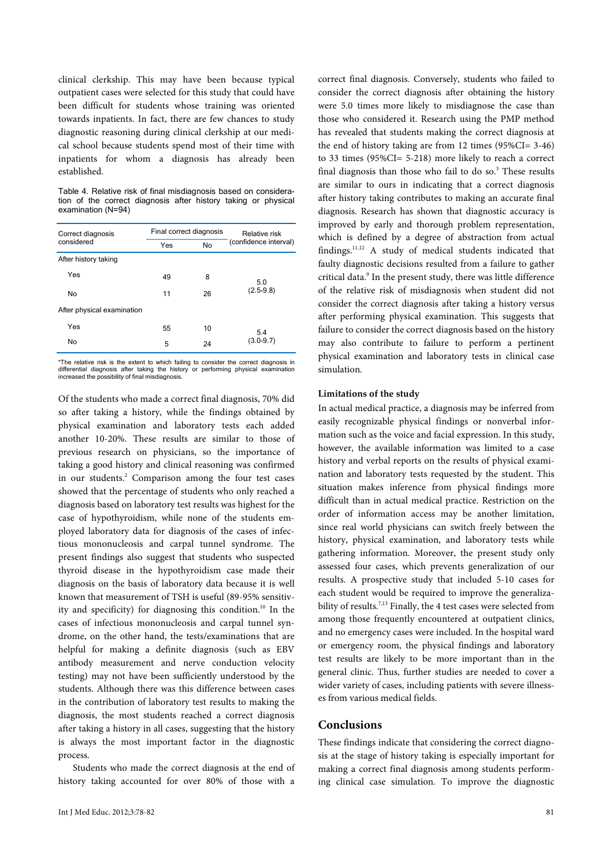clinical clerkship. This may have been because typical outpatient cases were selected for this study that could have been difficult for students whose training was oriented towards inpatients. In fact, there are few chances to study diagnostic reasoning during clinical clerkship at our medical school because students spend most of their time with inpatients for whom a diagnosis has already been established.

Table 4. Relative risk of final misdiagnosis based on consideration of the correct diagnosis after history taking or physical examination (N=94)

| Correct diagnosis          | Final correct diagnosis |    | Relative risk         |  |
|----------------------------|-------------------------|----|-----------------------|--|
| considered                 | <b>No</b><br>Yes        |    | (confidence interval) |  |
| After history taking       |                         |    |                       |  |
| Yes                        | 49                      | 8  | 5.0                   |  |
| No                         | 11                      | 26 | $(2.5-9.8)$           |  |
| After physical examination |                         |    |                       |  |
| Yes                        | 55                      | 10 | 5.4                   |  |
| No                         | 5                       | 24 | $(3.0 - 9.7)$         |  |

\*The relative risk is the extent to which failing to consider the correct diagnosis in differential diagnosis after taking the history or performing physical examination increased the possibility of final misdiagnosis.

Of the students who made a correct final diagnosis, 70% did so after taking a history, while the findings obtained by physical examination and laboratory tests each added another 10-20%. These results are similar to those of previous research on physicians, so the importance of taking a good history and clinical reasoning was confirmed in our students.<sup>2</sup> Comparison among the four test cases showed that the percentage of students who only reached a diagnosis based on laboratory test results was highest for the case of hypothyroidism, while none of the students employed laboratory data for diagnosis of the cases of infectious mononucleosis and carpal tunnel syndrome. The present findings also suggest that students who suspected thyroid disease in the hypothyroidism case made their diagnosis on the basis of laboratory data because it is well known that measurement of TSH is useful (89-95% sensitivity and specificity) for diagnosing this condition.<sup>10</sup> In the cases of infectious mononucleosis and carpal tunnel syndrome, on the other hand, the tests/examinations that are helpful for making a definite diagnosis (such as EBV antibody measurement and nerve conduction velocity testing) may not have been sufficiently understood by the students. Although there was this difference between cases in the contribution of laboratory test results to making the diagnosis, the most students reached a correct diagnosis after taking a history in all cases, suggesting that the history is always the most important factor in the diagnostic process.

Students who made the correct diagnosis at the end of history taking accounted for over 80% of those with a

correct final diagnosis. Conversely, students who failed to consider the correct diagnosis after obtaining the history were 5.0 times more likely to misdiagnose the case than those who considered it. Research using the PMP method has revealed that students making the correct diagnosis at the end of history taking are from 12 times (95%CI= 3-46) to 33 times (95%CI= 5-218) more likely to reach a correct final diagnosis than those who fail to do so. $3$  These results are similar to ours in indicating that a correct diagnosis after history taking contributes to making an accurate final diagnosis. Research has shown that diagnostic accuracy is improved by early and thorough problem representation, which is defined by a degree of abstraction from actual findings.11,12 A study of medical students indicated that faulty diagnostic decisions resulted from a failure to gather critical data.<sup>9</sup> In the present study, there was little difference of the relative risk of misdiagnosis when student did not consider the correct diagnosis after taking a history versus after performing physical examination. This suggests that failure to consider the correct diagnosis based on the history may also contribute to failure to perform a pertinent physical examination and laboratory tests in clinical case simulation.

#### **Limitations of the study**

In actual medical practice, a diagnosis may be inferred from easily recognizable physical findings or nonverbal information such as the voice and facial expression. In this study, however, the available information was limited to a case history and verbal reports on the results of physical examination and laboratory tests requested by the student. This situation makes inference from physical findings more difficult than in actual medical practice. Restriction on the order of information access may be another limitation, since real world physicians can switch freely between the history, physical examination, and laboratory tests while gathering information. Moreover, the present study only assessed four cases, which prevents generalization of our results. A prospective study that included 5-10 cases for each student would be required to improve the generalizability of results.<sup>7,13</sup> Finally, the 4 test cases were selected from among those frequently encountered at outpatient clinics, and no emergency cases were included. In the hospital ward or emergency room, the physical findings and laboratory test results are likely to be more important than in the general clinic. Thus, further studies are needed to cover a wider variety of cases, including patients with severe illnesses from various medical fields.

# **Conclusions**

These findings indicate that considering the correct diagnosis at the stage of history taking is especially important for making a correct final diagnosis among students performing clinical case simulation. To improve the diagnostic